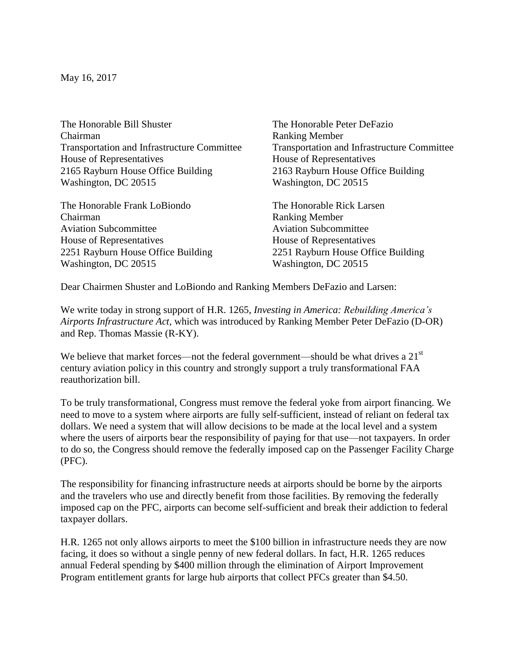May 16, 2017

The Honorable Bill Shuster The Honorable Peter DeFazio Chairman Ranking Member Transportation and Infrastructure Committee Transportation and Infrastructure Committee House of Representatives House of Representatives 2165 Rayburn House Office Building 2163 Rayburn House Office Building Washington, DC 20515 Washington, DC 20515

The Honorable Frank LoBiondo The Honorable Rick Larsen Chairman Ranking Member Aviation Subcommittee Aviation Subcommittee House of Representatives House of Representatives 2251 Rayburn House Office Building 2251 Rayburn House Office Building Washington, DC 20515 Washington, DC 20515

Dear Chairmen Shuster and LoBiondo and Ranking Members DeFazio and Larsen:

We write today in strong support of H.R. 1265, *Investing in America: Rebuilding America's Airports Infrastructure Act*, which was introduced by Ranking Member Peter DeFazio (D-OR) and Rep. Thomas Massie (R-KY).

We believe that market forces—not the federal government—should be what drives a  $21<sup>st</sup>$ century aviation policy in this country and strongly support a truly transformational FAA reauthorization bill.

To be truly transformational, Congress must remove the federal yoke from airport financing. We need to move to a system where airports are fully self-sufficient, instead of reliant on federal tax dollars. We need a system that will allow decisions to be made at the local level and a system where the users of airports bear the responsibility of paying for that use—not taxpayers. In order to do so, the Congress should remove the federally imposed cap on the Passenger Facility Charge (PFC).

The responsibility for financing infrastructure needs at airports should be borne by the airports and the travelers who use and directly benefit from those facilities. By removing the federally imposed cap on the PFC, airports can become self-sufficient and break their addiction to federal taxpayer dollars.

H.R. 1265 not only allows airports to meet the \$100 billion in infrastructure needs they are now facing, it does so without a single penny of new federal dollars. In fact, H.R. 1265 reduces annual Federal spending by \$400 million through the elimination of Airport Improvement Program entitlement grants for large hub airports that collect PFCs greater than \$4.50.